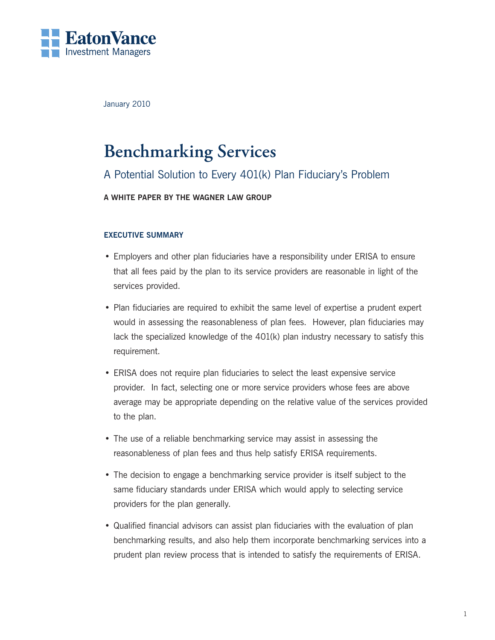

January 2010

# **Benchmarking Services**

# A Potential Solution to Every 401(k) Plan Fiduciary's Problem

## **A White Paper by The Wagner Law Group**

## **Executive Summary**

- • Employers and other plan fiduciaries have a responsibility under ERISA to ensure that all fees paid by the plan to its service providers are reasonable in light of the services provided.
- Plan fiduciaries are required to exhibit the same level of expertise a prudent expert would in assessing the reasonableness of plan fees. However, plan fiduciaries may lack the specialized knowledge of the 401(k) plan industry necessary to satisfy this requirement.
- ERISA does not require plan fiduciaries to select the least expensive service provider. In fact, selecting one or more service providers whose fees are above average may be appropriate depending on the relative value of the services provided to the plan.
- The use of a reliable benchmarking service may assist in assessing the reasonableness of plan fees and thus help satisfy ERISA requirements.
- The decision to engage a benchmarking service provider is itself subject to the same fiduciary standards under ERISA which would apply to selecting service providers for the plan generally.
- • Qualified financial advisors can assist plan fiduciaries with the evaluation of plan benchmarking results, and also help them incorporate benchmarking services into a prudent plan review process that is intended to satisfy the requirements of ERISA.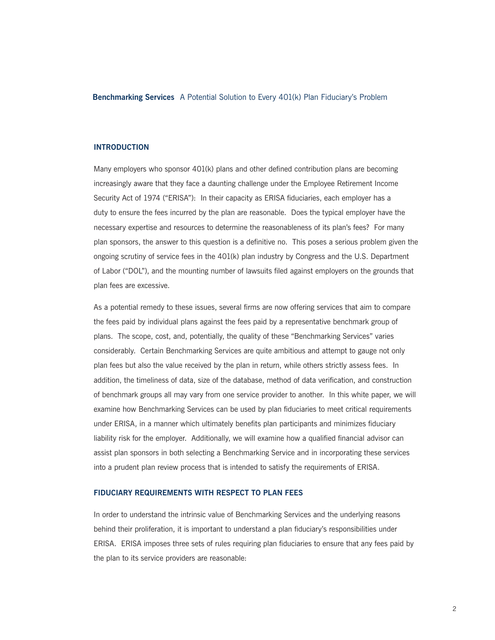#### **Introduction**

Many employers who sponsor 401(k) plans and other defined contribution plans are becoming increasingly aware that they face a daunting challenge under the Employee Retirement Income Security Act of 1974 ("ERISA"): In their capacity as ERISA fiduciaries, each employer has a duty to ensure the fees incurred by the plan are reasonable. Does the typical employer have the necessary expertise and resources to determine the reasonableness of its plan's fees? For many plan sponsors, the answer to this question is a definitive no. This poses a serious problem given the ongoing scrutiny of service fees in the 401(k) plan industry by Congress and the U.S. Department of Labor ("DOL"), and the mounting number of lawsuits filed against employers on the grounds that plan fees are excessive.

As a potential remedy to these issues, several firms are now offering services that aim to compare the fees paid by individual plans against the fees paid by a representative benchmark group of plans. The scope, cost, and, potentially, the quality of these "Benchmarking Services" varies considerably. Certain Benchmarking Services are quite ambitious and attempt to gauge not only plan fees but also the value received by the plan in return, while others strictly assess fees. In addition, the timeliness of data, size of the database, method of data verification, and construction of benchmark groups all may vary from one service provider to another. In this white paper, we will examine how Benchmarking Services can be used by plan fiduciaries to meet critical requirements under ERISA, in a manner which ultimately benefits plan participants and minimizes fiduciary liability risk for the employer. Additionally, we will examine how a qualified financial advisor can assist plan sponsors in both selecting a Benchmarking Service and in incorporating these services into a prudent plan review process that is intended to satisfy the requirements of ERISA.

#### **FIDUCIARY REQUIREMENTS WITH RESPECT TO PLAN FEES**

In order to understand the intrinsic value of Benchmarking Services and the underlying reasons behind their proliferation, it is important to understand a plan fiduciary's responsibilities under ERISA. ERISA imposes three sets of rules requiring plan fiduciaries to ensure that any fees paid by the plan to its service providers are reasonable: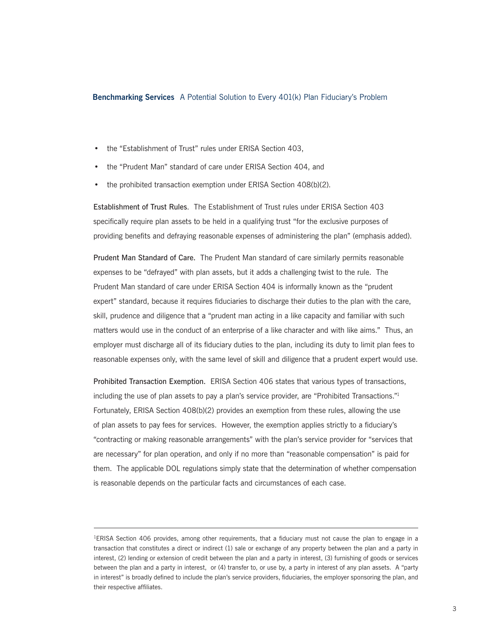- the "Establishment of Trust" rules under ERISA Section 403,
- the "Prudent Man" standard of care under ERISA Section 404, and
- the prohibited transaction exemption under ERISA Section 408(b)(2).

Establishment of Trust Rules. The Establishment of Trust rules under ERISA Section 403 specifically require plan assets to be held in a qualifying trust "for the exclusive purposes of providing benefits and defraying reasonable expenses of administering the plan" (emphasis added).

Prudent Man Standard of Care. The Prudent Man standard of care similarly permits reasonable expenses to be "defrayed" with plan assets, but it adds a challenging twist to the rule. The Prudent Man standard of care under ERISA Section 404 is informally known as the "prudent expert" standard, because it requires fiduciaries to discharge their duties to the plan with the care, skill, prudence and diligence that a "prudent man acting in a like capacity and familiar with such matters would use in the conduct of an enterprise of a like character and with like aims." Thus, an employer must discharge all of its fiduciary duties to the plan, including its duty to limit plan fees to reasonable expenses only, with the same level of skill and diligence that a prudent expert would use.

Prohibited Transaction Exemption. ERISA Section 406 states that various types of transactions, including the use of plan assets to pay a plan's service provider, are "Prohibited Transactions."1 Fortunately, ERISA Section 408(b)(2) provides an exemption from these rules, allowing the use of plan assets to pay fees for services. However, the exemption applies strictly to a fiduciary's "contracting or making reasonable arrangements" with the plan's service provider for "services that are necessary" for plan operation, and only if no more than "reasonable compensation" is paid for them. The applicable DOL regulations simply state that the determination of whether compensation is reasonable depends on the particular facts and circumstances of each case.

<sup>&</sup>lt;sup>1</sup>ERISA Section 406 provides, among other requirements, that a fiduciary must not cause the plan to engage in a transaction that constitutes a direct or indirect (1) sale or exchange of any property between the plan and a party in interest, (2) lending or extension of credit between the plan and a party in interest, (3) furnishing of goods or services between the plan and a party in interest, or (4) transfer to, or use by, a party in interest of any plan assets. A "party in interest" is broadly defined to include the plan's service providers, fiduciaries, the employer sponsoring the plan, and their respective affiliates.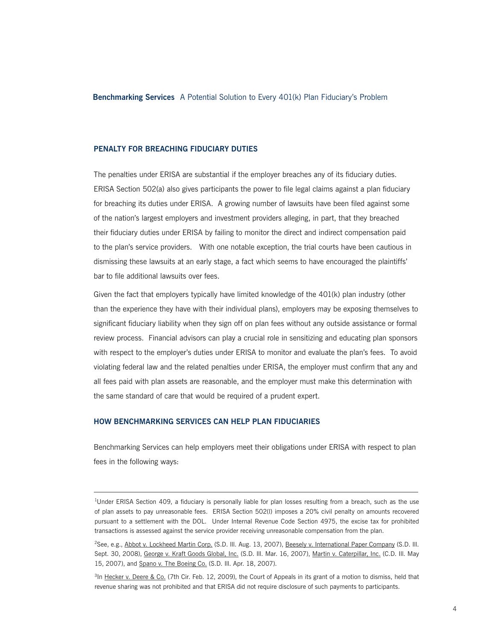#### **PENALTY FOR BREACHING FIDUCIARY DUTIES**

The penalties under ERISA are substantial if the employer breaches any of its fiduciary duties. ERISA Section 502(a) also gives participants the power to file legal claims against a plan fiduciary for breaching its duties under ERISA. A growing number of lawsuits have been filed against some of the nation's largest employers and investment providers alleging, in part, that they breached their fiduciary duties under ERISA by failing to monitor the direct and indirect compensation paid to the plan's service providers. With one notable exception, the trial courts have been cautious in dismissing these lawsuits at an early stage, a fact which seems to have encouraged the plaintiffs' bar to file additional lawsuits over fees.

Given the fact that employers typically have limited knowledge of the 401(k) plan industry (other than the experience they have with their individual plans), employers may be exposing themselves to significant fiduciary liability when they sign off on plan fees without any outside assistance or formal review process. Financial advisors can play a crucial role in sensitizing and educating plan sponsors with respect to the employer's duties under ERISA to monitor and evaluate the plan's fees. To avoid violating federal law and the related penalties under ERISA, the employer must confirm that any and all fees paid with plan assets are reasonable, and the employer must make this determination with the same standard of care that would be required of a prudent expert.

#### **HOW BENCHMARKING SERVICES CAN HELP PLAN FIDUCIARIES**

Benchmarking Services can help employers meet their obligations under ERISA with respect to plan fees in the following ways:

<sup>&</sup>lt;sup>1</sup>Under ERISA Section 409, a fiduciary is personally liable for plan losses resulting from a breach, such as the use of plan assets to pay unreasonable fees. ERISA Section 502(l) imposes a 20% civil penalty on amounts recovered pursuant to a settlement with the DOL. Under Internal Revenue Code Section 4975, the excise tax for prohibited transactions is assessed against the service provider receiving unreasonable compensation from the plan.

<sup>&</sup>lt;sup>2</sup>See, e.g., Abbot v. Lockheed Martin Corp. (S.D. III. Aug. 13, 2007), Beesely v. International Paper Company (S.D. III. Sept. 30, 2008), George v. Kraft Goods Global, Inc. (S.D. Ill. Mar. 16, 2007), Martin v. Caterpillar, Inc. (C.D. Ill. May 15, 2007), and Spano v. The Boeing Co. (S.D. Ill. Apr. 18, 2007).

<sup>&</sup>lt;sup>3</sup>In Hecker v. Deere & Co. (7th Cir. Feb. 12, 2009), the Court of Appeals in its grant of a motion to dismiss, held that revenue sharing was not prohibited and that ERISA did not require disclosure of such payments to participants.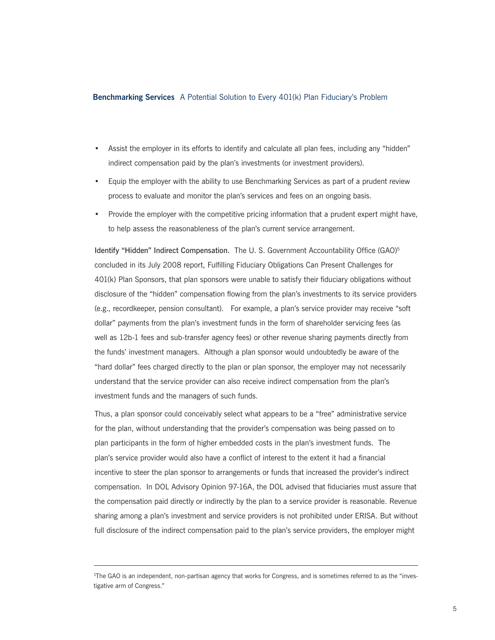- Assist the employer in its efforts to identify and calculate all plan fees, including any "hidden" indirect compensation paid by the plan's investments (or investment providers).
- Equip the employer with the ability to use Benchmarking Services as part of a prudent review process to evaluate and monitor the plan's services and fees on an ongoing basis.
- • Provide the employer with the competitive pricing information that a prudent expert might have, to help assess the reasonableness of the plan's current service arrangement.

Identify "Hidden" Indirect Compensation. The U.S. Government Accountability Office (GAO)<sup>5</sup> concluded in its July 2008 report, Fulfilling Fiduciary Obligations Can Present Challenges for 401(k) Plan Sponsors, that plan sponsors were unable to satisfy their fiduciary obligations without disclosure of the "hidden" compensation flowing from the plan's investments to its service providers (e.g., recordkeeper, pension consultant). For example, a plan's service provider may receive "soft dollar" payments from the plan's investment funds in the form of shareholder servicing fees (as well as 12b-1 fees and sub-transfer agency fees) or other revenue sharing payments directly from the funds' investment managers. Although a plan sponsor would undoubtedly be aware of the "hard dollar" fees charged directly to the plan or plan sponsor, the employer may not necessarily understand that the service provider can also receive indirect compensation from the plan's investment funds and the managers of such funds.

Thus, a plan sponsor could conceivably select what appears to be a "free" administrative service for the plan, without understanding that the provider's compensation was being passed on to plan participants in the form of higher embedded costs in the plan's investment funds. The plan's service provider would also have a conflict of interest to the extent it had a financial incentive to steer the plan sponsor to arrangements or funds that increased the provider's indirect compensation. In DOL Advisory Opinion 97-16A, the DOL advised that fiduciaries must assure that the compensation paid directly or indirectly by the plan to a service provider is reasonable. Revenue sharing among a plan's investment and service providers is not prohibited under ERISA. But without full disclosure of the indirect compensation paid to the plan's service providers, the employer might

<sup>&</sup>lt;sup>1</sup>The GAO is an independent, non-partisan agency that works for Congress, and is sometimes referred to as the "investigative arm of Congress."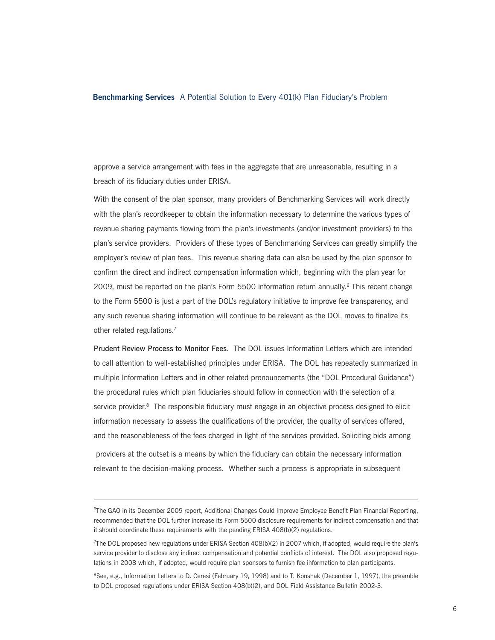approve a service arrangement with fees in the aggregate that are unreasonable, resulting in a breach of its fiduciary duties under ERISA.

With the consent of the plan sponsor, many providers of Benchmarking Services will work directly with the plan's recordkeeper to obtain the information necessary to determine the various types of revenue sharing payments flowing from the plan's investments (and/or investment providers) to the plan's service providers. Providers of these types of Benchmarking Services can greatly simplify the employer's review of plan fees. This revenue sharing data can also be used by the plan sponsor to confirm the direct and indirect compensation information which, beginning with the plan year for 2009, must be reported on the plan's Form 5500 information return annually.<sup>6</sup> This recent change to the Form 5500 is just a part of the DOL's regulatory initiative to improve fee transparency, and any such revenue sharing information will continue to be relevant as the DOL moves to finalize its other related regulations.<sup>7</sup>

Prudent Review Process to Monitor Fees. The DOL issues Information Letters which are intended to call attention to well-established principles under ERISA. The DOL has repeatedly summarized in multiple Information Letters and in other related pronouncements (the "DOL Procedural Guidance") the procedural rules which plan fiduciaries should follow in connection with the selection of a service provider.<sup>8</sup> The responsible fiduciary must engage in an objective process designed to elicit information necessary to assess the qualifications of the provider, the quality of services offered, and the reasonableness of the fees charged in light of the services provided. Soliciting bids among providers at the outset is a means by which the fiduciary can obtain the necessary information relevant to the decision-making process. Whether such a process is appropriate in subsequent

<sup>6</sup> The GAO in its December 2009 report, Additional Changes Could Improve Employee Benefit Plan Financial Reporting, recommended that the DOL further increase its Form 5500 disclosure requirements for indirect compensation and that it should coordinate these requirements with the pending ERISA 408(b)(2) regulations.

<sup>7</sup> The DOL proposed new regulations under ERISA Section 408(b)(2) in 2007 which, if adopted, would require the plan's service provider to disclose any indirect compensation and potential conflicts of interest. The DOL also proposed regulations in 2008 which, if adopted, would require plan sponsors to furnish fee information to plan participants.

<sup>&</sup>lt;sup>8</sup>See, e.g., Information Letters to D. Ceresi (February 19, 1998) and to T. Konshak (December 1, 1997), the preamble to DOL proposed regulations under ERISA Section 408(b)(2), and DOL Field Assistance Bulletin 2002-3.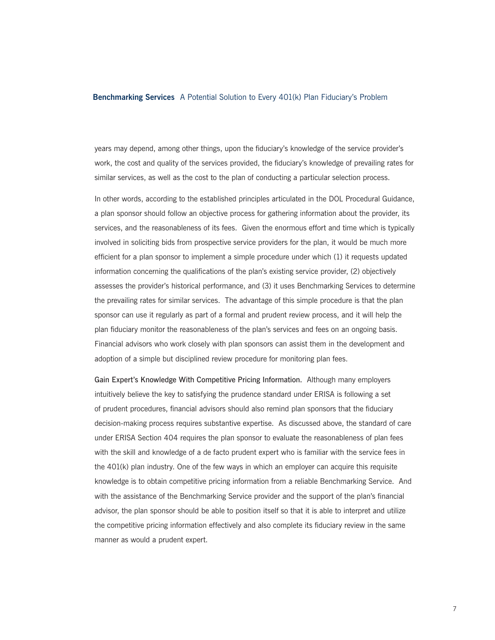years may depend, among other things, upon the fiduciary's knowledge of the service provider's work, the cost and quality of the services provided, the fiduciary's knowledge of prevailing rates for similar services, as well as the cost to the plan of conducting a particular selection process.

In other words, according to the established principles articulated in the DOL Procedural Guidance, a plan sponsor should follow an objective process for gathering information about the provider, its services, and the reasonableness of its fees. Given the enormous effort and time which is typically involved in soliciting bids from prospective service providers for the plan, it would be much more efficient for a plan sponsor to implement a simple procedure under which (1) it requests updated information concerning the qualifications of the plan's existing service provider, (2) objectively assesses the provider's historical performance, and (3) it uses Benchmarking Services to determine the prevailing rates for similar services. The advantage of this simple procedure is that the plan sponsor can use it regularly as part of a formal and prudent review process, and it will help the plan fiduciary monitor the reasonableness of the plan's services and fees on an ongoing basis. Financial advisors who work closely with plan sponsors can assist them in the development and adoption of a simple but disciplined review procedure for monitoring plan fees.

Gain Expert's Knowledge With Competitive Pricing Information. Although many employers intuitively believe the key to satisfying the prudence standard under ERISA is following a set of prudent procedures, financial advisors should also remind plan sponsors that the fiduciary decision-making process requires substantive expertise. As discussed above, the standard of care under ERISA Section 404 requires the plan sponsor to evaluate the reasonableness of plan fees with the skill and knowledge of a de facto prudent expert who is familiar with the service fees in the 401(k) plan industry. One of the few ways in which an employer can acquire this requisite knowledge is to obtain competitive pricing information from a reliable Benchmarking Service. And with the assistance of the Benchmarking Service provider and the support of the plan's financial advisor, the plan sponsor should be able to position itself so that it is able to interpret and utilize the competitive pricing information effectively and also complete its fiduciary review in the same manner as would a prudent expert.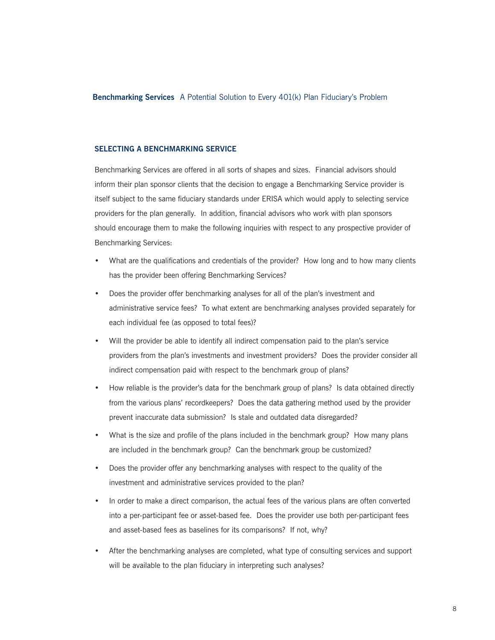#### **SELECTING A BENCHMARKING SERVICE**

Benchmarking Services are offered in all sorts of shapes and sizes. Financial advisors should inform their plan sponsor clients that the decision to engage a Benchmarking Service provider is itself subject to the same fiduciary standards under ERISA which would apply to selecting service providers for the plan generally. In addition, financial advisors who work with plan sponsors should encourage them to make the following inquiries with respect to any prospective provider of Benchmarking Services:

- What are the qualifications and credentials of the provider? How long and to how many clients has the provider been offering Benchmarking Services?
- Does the provider offer benchmarking analyses for all of the plan's investment and administrative service fees? To what extent are benchmarking analyses provided separately for each individual fee (as opposed to total fees)?
- Will the provider be able to identify all indirect compensation paid to the plan's service providers from the plan's investments and investment providers? Does the provider consider all indirect compensation paid with respect to the benchmark group of plans?
- How reliable is the provider's data for the benchmark group of plans? Is data obtained directly from the various plans' recordkeepers? Does the data gathering method used by the provider prevent inaccurate data submission? Is stale and outdated data disregarded?
- What is the size and profile of the plans included in the benchmark group? How many plans are included in the benchmark group? Can the benchmark group be customized?
- Does the provider offer any benchmarking analyses with respect to the quality of the investment and administrative services provided to the plan?
- In order to make a direct comparison, the actual fees of the various plans are often converted into a per-participant fee or asset-based fee. Does the provider use both per-participant fees and asset-based fees as baselines for its comparisons? If not, why?
- • After the benchmarking analyses are completed, what type of consulting services and support will be available to the plan fiduciary in interpreting such analyses?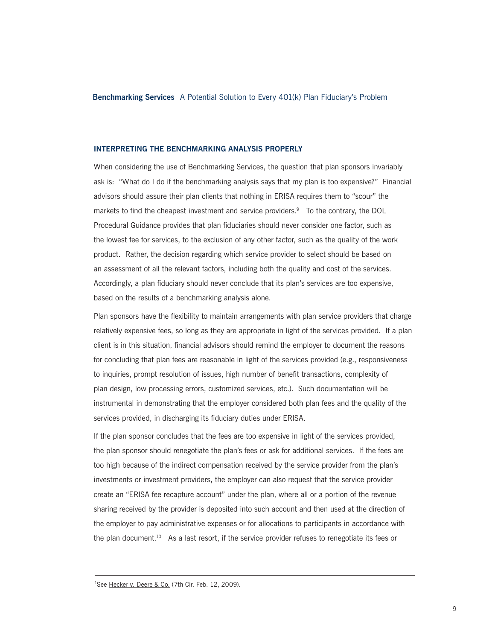#### **INTERPRETING THE BENCHMARKING ANALYSIS PROPERLY**

When considering the use of Benchmarking Services, the question that plan sponsors invariably ask is: "What do I do if the benchmarking analysis says that my plan is too expensive?" Financial advisors should assure their plan clients that nothing in ERISA requires them to "scour" the markets to find the cheapest investment and service providers.<sup>9</sup> To the contrary, the DOL Procedural Guidance provides that plan fiduciaries should never consider one factor, such as the lowest fee for services, to the exclusion of any other factor, such as the quality of the work product. Rather, the decision regarding which service provider to select should be based on an assessment of all the relevant factors, including both the quality and cost of the services. Accordingly, a plan fiduciary should never conclude that its plan's services are too expensive, based on the results of a benchmarking analysis alone.

Plan sponsors have the flexibility to maintain arrangements with plan service providers that charge relatively expensive fees, so long as they are appropriate in light of the services provided. If a plan client is in this situation, financial advisors should remind the employer to document the reasons for concluding that plan fees are reasonable in light of the services provided (e.g., responsiveness to inquiries, prompt resolution of issues, high number of benefit transactions, complexity of plan design, low processing errors, customized services, etc.). Such documentation will be instrumental in demonstrating that the employer considered both plan fees and the quality of the services provided, in discharging its fiduciary duties under ERISA.

If the plan sponsor concludes that the fees are too expensive in light of the services provided, the plan sponsor should renegotiate the plan's fees or ask for additional services. If the fees are too high because of the indirect compensation received by the service provider from the plan's investments or investment providers, the employer can also request that the service provider create an "ERISA fee recapture account" under the plan, where all or a portion of the revenue sharing received by the provider is deposited into such account and then used at the direction of the employer to pay administrative expenses or for allocations to participants in accordance with the plan document.<sup>10</sup> As a last resort, if the service provider refuses to renegotiate its fees or

<sup>&</sup>lt;sup>1</sup>See Hecker v. Deere & Co. (7th Cir. Feb. 12, 2009).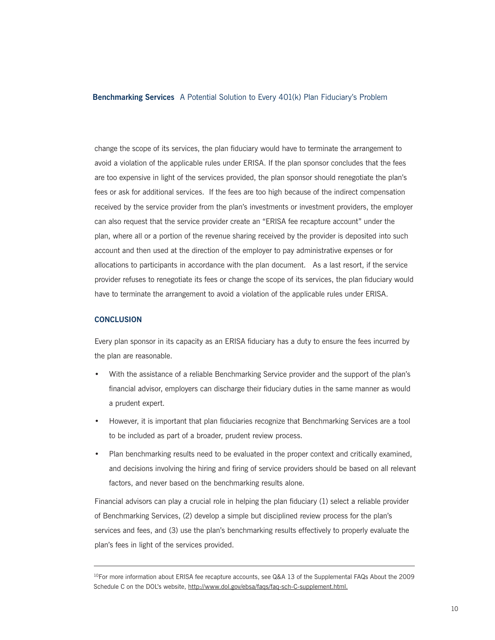change the scope of its services, the plan fiduciary would have to terminate the arrangement to avoid a violation of the applicable rules under ERISA. If the plan sponsor concludes that the fees are too expensive in light of the services provided, the plan sponsor should renegotiate the plan's fees or ask for additional services. If the fees are too high because of the indirect compensation received by the service provider from the plan's investments or investment providers, the employer can also request that the service provider create an "ERISA fee recapture account" under the plan, where all or a portion of the revenue sharing received by the provider is deposited into such account and then used at the direction of the employer to pay administrative expenses or for allocations to participants in accordance with the plan document. As a last resort, if the service provider refuses to renegotiate its fees or change the scope of its services, the plan fiduciary would have to terminate the arrangement to avoid a violation of the applicable rules under ERISA.

#### **CONCLUSION**

Every plan sponsor in its capacity as an ERISA fiduciary has a duty to ensure the fees incurred by the plan are reasonable.

- With the assistance of a reliable Benchmarking Service provider and the support of the plan's financial advisor, employers can discharge their fiduciary duties in the same manner as would a prudent expert.
- However, it is important that plan fiduciaries recognize that Benchmarking Services are a tool to be included as part of a broader, prudent review process.
- Plan benchmarking results need to be evaluated in the proper context and critically examined, and decisions involving the hiring and firing of service providers should be based on all relevant factors, and never based on the benchmarking results alone.

Financial advisors can play a crucial role in helping the plan fiduciary (1) select a reliable provider of Benchmarking Services, (2) develop a simple but disciplined review process for the plan's services and fees, and (3) use the plan's benchmarking results effectively to properly evaluate the plan's fees in light of the services provided.

 $10$ For more information about ERISA fee recapture accounts, see Q&A 13 of the Supplemental FAQs About the 2009 Schedule C on the DOL's website, http://www.dol.gov/ebsa/faqs/faq-sch-C-supplement.html.